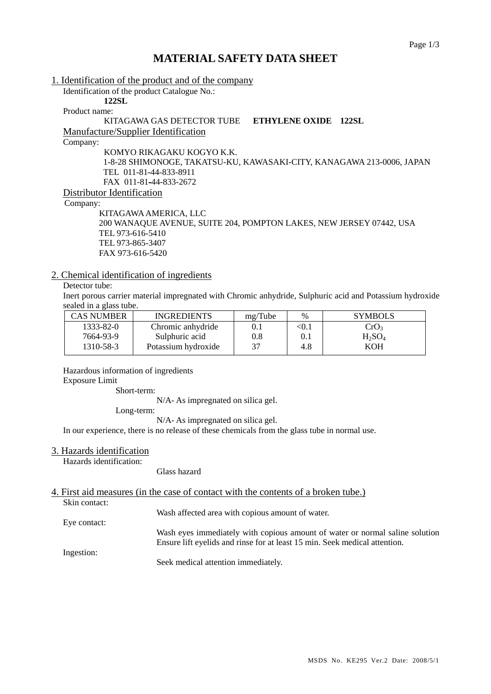## **MATERIAL SAFETY DATA SHEET**

1. Identification of the product and of the company Identification of the product Catalogue No.: **122SL**  Product name: KITAGAWA GAS DETECTOR TUBE **ETHYLENE OXIDE 122SL** Manufacture/Supplier Identification Company: KOMYO RIKAGAKU KOGYO K.K. 1-8-28 SHIMONOGE, TAKATSU-KU, KAWASAKI-CITY, KANAGAWA 213-0006, JAPAN TEL 011-81-44-833-8911 FAX 011-81-44-833-2672 Distributor Identification Company: KITAGAWA AMERICA, LLC 200 WANAQUE AVENUE, SUITE 204, POMPTON LAKES, NEW JERSEY 07442, USA

 TEL 973-616-5410 TEL 973-865-3407 FAX 973-616-5420

#### 2. Chemical identification of ingredients

### Detector tube:

Inert porous carrier material impregnated with Chromic anhydride, Sulphuric acid and Potassium hydroxide sealed in a glass tube.

| CAS NUMBER | <b>INGREDIENTS</b>  | mg/Tube | $\%$  | <b>SYMBOLS</b>   |
|------------|---------------------|---------|-------|------------------|
| 1333-82-0  | Chromic anhydride   | 0.1     | < 0.1 | CrO <sub>3</sub> |
| 7664-93-9  | Sulphuric acid      | 0.8     |       | $H_2SO_4$        |
| 1310-58-3  | Potassium hydroxide | 37      | 4.8   | KOH              |

Hazardous information of ingredients

### Exposure Limit

Short-term:

N/A- As impregnated on silica gel.

Long-term:

N/A- As impregnated on silica gel.

In our experience, there is no release of these chemicals from the glass tube in normal use.

#### 3. Hazards identification

Hazards identification:

Glass hazard

#### 4. First aid measures (in the case of contact with the contents of a broken tube.)

Skin contact:

Eye contact:

Wash affected area with copious amount of water.

Wash eyes immediately with copious amount of water or normal saline solution Ensure lift eyelids and rinse for at least 15 min. Seek medical attention.

Ingestion:

Seek medical attention immediately.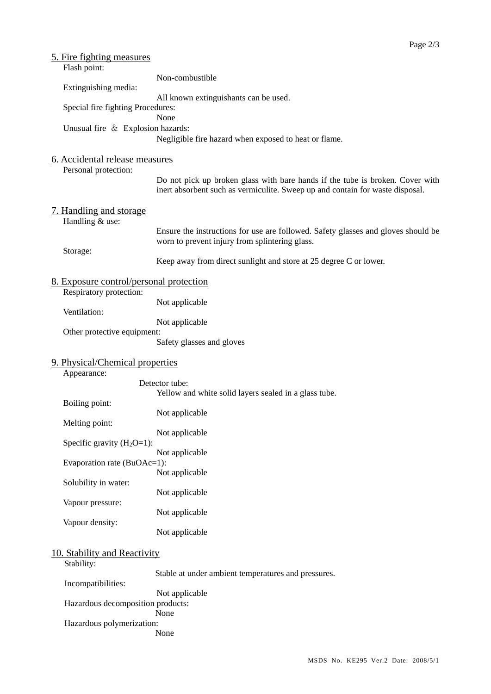| <u>5. Fire fighting measures</u><br>Flash point:                   |                                                                                                                                                                |
|--------------------------------------------------------------------|----------------------------------------------------------------------------------------------------------------------------------------------------------------|
|                                                                    | Non-combustible                                                                                                                                                |
| Extinguishing media:                                               |                                                                                                                                                                |
| Special fire fighting Procedures:                                  | All known extinguishants can be used.                                                                                                                          |
|                                                                    | None                                                                                                                                                           |
| Unusual fire & Explosion hazards:                                  | Negligible fire hazard when exposed to heat or flame.                                                                                                          |
| 6. Accidental release measures                                     |                                                                                                                                                                |
| Personal protection:                                               |                                                                                                                                                                |
|                                                                    | Do not pick up broken glass with bare hands if the tube is broken. Cover with<br>inert absorbent such as vermiculite. Sweep up and contain for waste disposal. |
| 7. Handling and storage<br>Handling & use:                         |                                                                                                                                                                |
|                                                                    | Ensure the instructions for use are followed. Safety glasses and gloves should be<br>worn to prevent injury from splintering glass.                            |
| Storage:                                                           | Keep away from direct sunlight and store at 25 degree C or lower.                                                                                              |
| 8. Exposure control/personal protection<br>Respiratory protection: |                                                                                                                                                                |
| Ventilation:                                                       | Not applicable                                                                                                                                                 |
|                                                                    | Not applicable                                                                                                                                                 |
| Other protective equipment:                                        | Safety glasses and gloves                                                                                                                                      |
| 9. Physical/Chemical properties<br>Appearance:                     |                                                                                                                                                                |
|                                                                    | Detector tube:                                                                                                                                                 |
| Boiling point:                                                     | Yellow and white solid layers sealed in a glass tube.                                                                                                          |
|                                                                    | Not applicable                                                                                                                                                 |
| Melting point:                                                     | Not applicable                                                                                                                                                 |
| Specific gravity $(H_2O=1)$ :                                      |                                                                                                                                                                |
| Evaporation rate (BuOAc=1):                                        | Not applicable                                                                                                                                                 |
|                                                                    | Not applicable                                                                                                                                                 |
| Solubility in water:                                               | Not applicable                                                                                                                                                 |
| Vapour pressure:                                                   | Not applicable                                                                                                                                                 |
| Vapour density:                                                    |                                                                                                                                                                |
|                                                                    | Not applicable                                                                                                                                                 |
| 10. Stability and Reactivity                                       |                                                                                                                                                                |
| Stability:                                                         | Stable at under ambient temperatures and pressures.                                                                                                            |
| Incompatibilities:                                                 |                                                                                                                                                                |
| Hazardous decomposition products:                                  | Not applicable                                                                                                                                                 |
|                                                                    | None                                                                                                                                                           |

Hazardous polymerization:

None